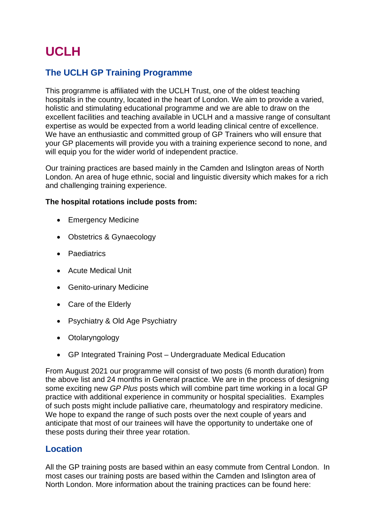# **UCLH**

## **The UCLH GP Training Programme**

This programme is affiliated with the UCLH Trust, one of the oldest teaching hospitals in the country, located in the heart of London. We aim to provide a varied, holistic and stimulating educational programme and we are able to draw on the excellent facilities and teaching available in UCLH and a massive range of consultant expertise as would be expected from a world leading clinical centre of excellence. We have an enthusiastic and committed group of GP Trainers who will ensure that your GP placements will provide you with a training experience second to none, and will equip you for the wider world of independent practice.

Our training practices are based mainly in the Camden and Islington areas of North London. An area of huge ethnic, social and linguistic diversity which makes for a rich and challenging training experience.

#### **The hospital rotations include posts from:**

- Emergency Medicine
- Obstetrics & Gynaecology
- Paediatrics
- Acute Medical Unit
- Genito-urinary Medicine
- Care of the Elderly
- Psychiatry & Old Age Psychiatry
- Otolaryngology
- GP Integrated Training Post Undergraduate Medical Education

From August 2021 our programme will consist of two posts (6 month duration) from the above list and 24 months in General practice. We are in the process of designing some exciting new *GP Plus* posts which will combine part time working in a local GP practice with additional experience in community or hospital specialities. Examples of such posts might include palliative care, rheumatology and respiratory medicine. We hope to expand the range of such posts over the next couple of years and anticipate that most of our trainees will have the opportunity to undertake one of these posts during their three year rotation.

#### **Location**

All the GP training posts are based within an easy commute from Central London. In most cases our training posts are based within the Camden and Islington area of North London. More information about the training practices can be found here: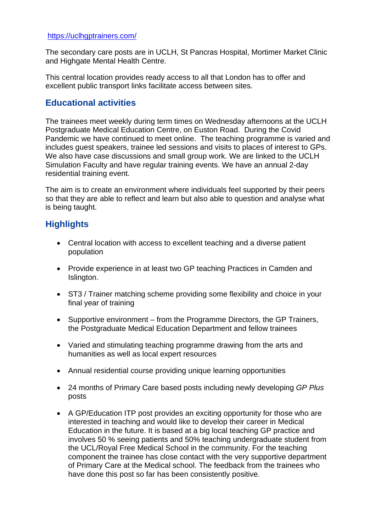#### <https://uclhgptrainers.com/>

The secondary care posts are in UCLH, St Pancras Hospital, Mortimer Market Clinic and Highgate Mental Health Centre.

This central location provides ready access to all that London has to offer and excellent public transport links facilitate access between sites.

#### **Educational activities**

The trainees meet weekly during term times on Wednesday afternoons at the UCLH Postgraduate Medical Education Centre, on Euston Road. During the Covid Pandemic we have continued to meet online. The teaching programme is varied and includes guest speakers, trainee led sessions and visits to places of interest to GPs. We also have case discussions and small group work. We are linked to the UCLH Simulation Faculty and have regular training events. We have an annual 2-day residential training event.

The aim is to create an environment where individuals feel supported by their peers so that they are able to reflect and learn but also able to question and analyse what is being taught.

## **Highlights**

- Central location with access to excellent teaching and a diverse patient population
- Provide experience in at least two GP teaching Practices in Camden and Islington.
- ST3 / Trainer matching scheme providing some flexibility and choice in your final year of training
- Supportive environment from the Programme Directors, the GP Trainers, the Postgraduate Medical Education Department and fellow trainees
- Varied and stimulating teaching programme drawing from the arts and humanities as well as local expert resources
- Annual residential course providing unique learning opportunities
- 24 months of Primary Care based posts including newly developing *GP Plus* posts
- A GP/Education ITP post provides an exciting opportunity for those who are interested in teaching and would like to develop their career in Medical Education in the future. It is based at a big local teaching GP practice and involves 50 % seeing patients and 50% teaching undergraduate student from the UCL/Royal Free Medical School in the community. For the teaching component the trainee has close contact with the very supportive department of Primary Care at the Medical school. The feedback from the trainees who have done this post so far has been consistently positive.